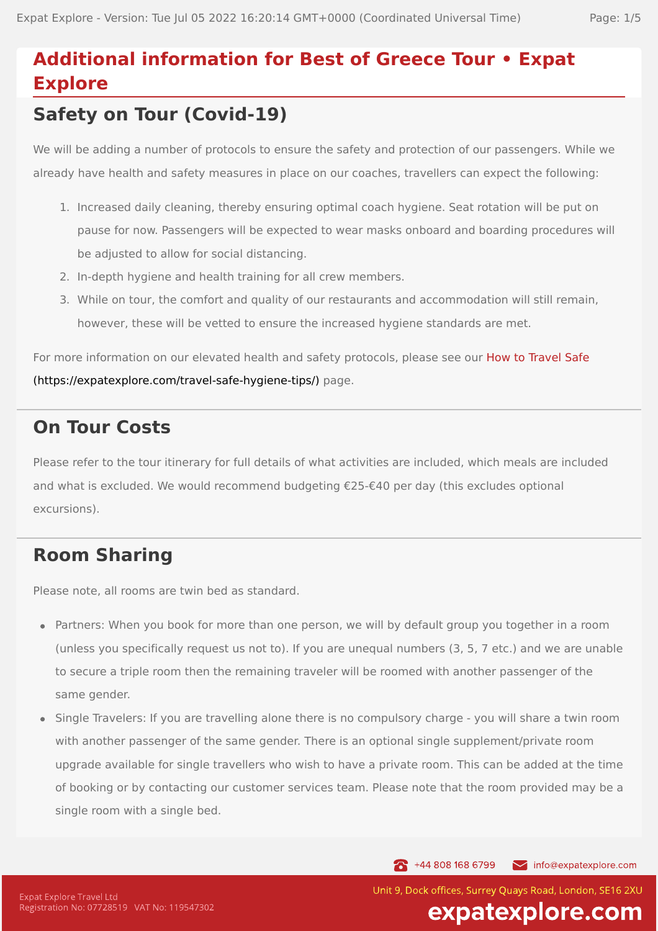# **Additional information for Best of Greece Tour • Expat Explore**

## **Safety on Tour (Covid-19)**

We will be adding a number of protocols to ensure the safety and protection of our passengers. While we already have health and safety measures in place on our coaches, travellers can expect the following:

- 1. Increased daily cleaning, thereby ensuring optimal coach hygiene. Seat rotation will be put on pause for now. Passengers will be expected to wear masks onboard and boarding procedures will be adjusted to allow for social distancing.
- 2. In-depth hygiene and health training for all crew members.
- 3. While on tour, the comfort and quality of our restaurants and accommodation will still remain, however, these will be vetted to ensure the increased hygiene standards are met.

For more information on our elevated health and safety protocols, please see our How to Travel Safe [\(https://expatexplore.com/travel-safe-hygiene-tips/\)](https://expatexplore.com/travel-safe-hygiene-tips/) page.

### **On Tour Costs**

Please refer to the tour itinerary for full details of what activities are included, which meals are included and what is excluded. We would recommend budgeting €25-€40 per day (this excludes optional excursions).

## **Room Sharing**

Please note, all rooms are twin bed as standard.

- Partners: When you book for more than one person, we will by default group you together in a room (unless you specifically request us not to). If you are unequal numbers (3, 5, 7 etc.) and we are unable to secure a triple room then the remaining traveler will be roomed with another passenger of the same gender.
- Single Travelers: If you are travelling alone there is no compulsory charge you will share a twin room with another passenger of the same gender. There is an optional single supplement/private room upgrade available for single travellers who wish to have a private room. This can be added at the time of booking or by contacting our customer services team. Please note that the room provided may be a single room with a single bed.

144 808 168 6799

info@expatexplore.com

Unit 9, Dock offices, Surrey Ouays Road, London, SE16 2XU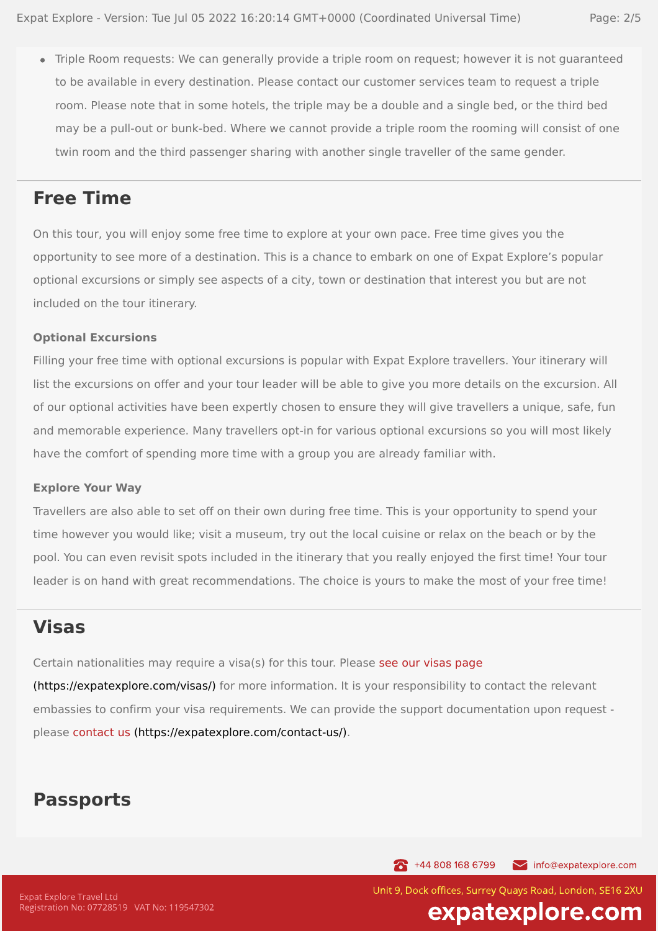Triple Room requests: We can generally provide a triple room on request; however it is not guaranteed to be available in every destination. Please contact our customer services team to request a triple room. Please note that in some hotels, the triple may be a double and a single bed, or the third bed may be a pull-out or bunk-bed. Where we cannot provide a triple room the rooming will consist of one twin room and the third passenger sharing with another single traveller of the same gender.

#### **Free Time**

On this tour, you will enjoy some free time to explore at your own pace. Free time gives you the opportunity to see more of a destination. This is a chance to embark on one of Expat Explore's popular optional excursions or simply see aspects of a city, town or destination that interest you but are not included on the tour itinerary.

#### **Optional Excursions**

Filling your free time with optional excursions is popular with Expat Explore travellers. Your itinerary will list the excursions on offer and your tour leader will be able to give you more details on the excursion. All of our optional activities have been expertly chosen to ensure they will give travellers a unique, safe, fun and memorable experience. Many travellers opt-in for various optional excursions so you will most likely have the comfort of spending more time with a group you are already familiar with.

#### **Explore Your Way**

Travellers are also able to set off on their own during free time. This is your opportunity to spend your time however you would like; visit a museum, try out the local cuisine or relax on the beach or by the pool. You can even revisit spots included in the itinerary that you really enjoyed the first time! Your tour leader is on hand with great recommendations. The choice is yours to make the most of your free time!

#### **Visas**

Certain nationalities may require a visa(s) for this tour. Please see our visas page

[\(https://expatexplore.com/visas/\)](https://expatexplore.com/visas/) for more information. It is your responsibility to contact the relevant embassies to confirm your visa requirements. We can provide the support documentation upon request please contact us [\(https://expatexplore.com/contact-us/\).](https://expatexplore.com/contact-us/)

#### **Passports**

144 808 168 6799 info@expatexplore.com

Unit 9, Dock offices, Surrey Ouays Road, London, SE16 2XU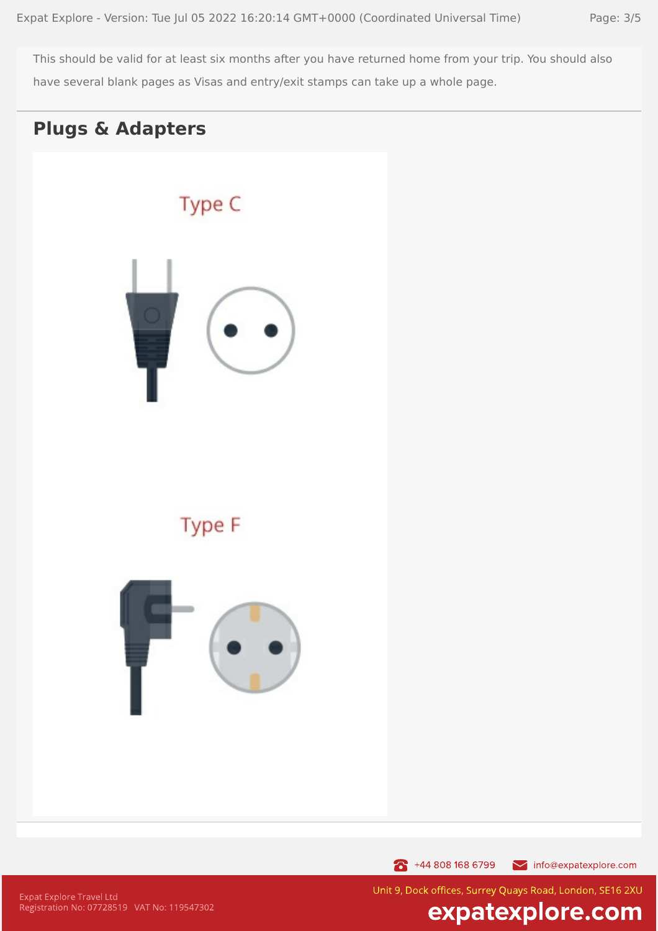This should be valid for at least six months after you have returned home from your trip. You should also have several blank pages as Visas and entry/exit stamps can take up a whole page.

#### **Plugs & Adapters**



144 808 168 6799 info@expatexplore.com

**Expat Explore Travel Ltd** Registration No: 07728519 VAT No: 119547302 Unit 9, Dock offices, Surrey Quays Road, London, SE16 2XU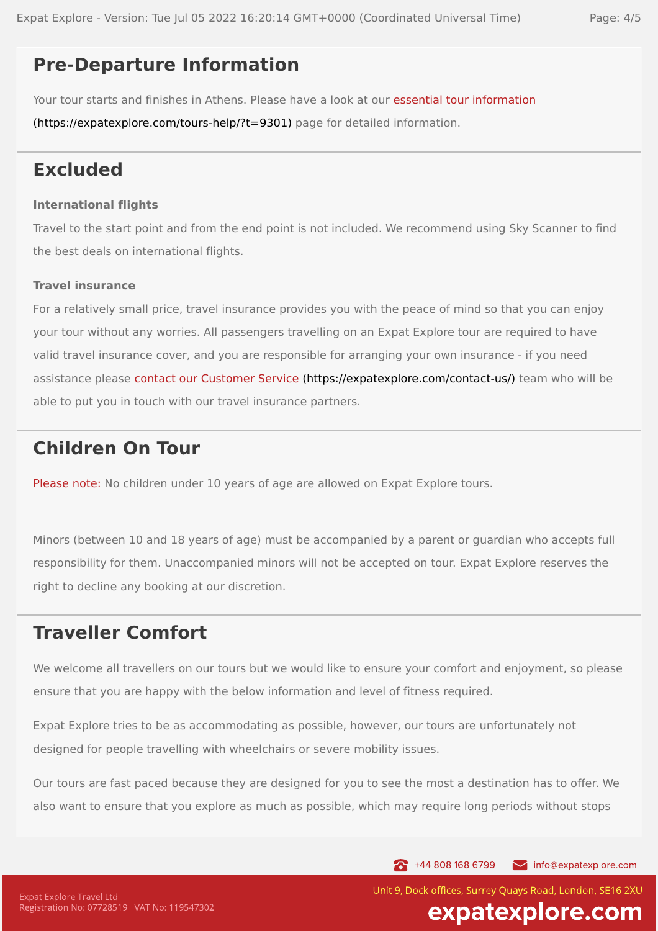#### **Pre-Departure Information**

Your tour starts and finishes in Athens. Please have a look at our essential tour information

[\(https://expatexplore.com/tours-help/?t=9301\)](https://expatexplore.com/tours-help/?t=9301) page for detailed information.

### **Excluded**

#### **International flights**

Travel to the start point and from the end point is not included. We recommend using Sky Scanner to find the best deals on international flights.

#### **Travel insurance**

For a relatively small price, travel insurance provides you with the peace of mind so that you can enjoy your tour without any worries. All passengers travelling on an Expat Explore tour are required to have valid travel insurance cover, and you are responsible for arranging your own insurance - if you need assistance please contact our Customer Service [\(https://expatexplore.com/contact-us/\)](https://expatexplore.com/contact-us/) team who will be able to put you in touch with our travel insurance partners.

### **Children On Tour**

Please note: No children under 10 years of age are allowed on Expat Explore tours.

Minors (between 10 and 18 years of age) must be accompanied by a parent or guardian who accepts full responsibility for them. Unaccompanied minors will not be accepted on tour. Expat Explore reserves the right to decline any booking at our discretion.

### **Traveller Comfort**

We welcome all travellers on our tours but we would like to ensure your comfort and enjoyment, so please ensure that you are happy with the below information and level of fitness required.

Expat Explore tries to be as accommodating as possible, however, our tours are unfortunately not designed for people travelling with wheelchairs or severe mobility issues.

Our tours are fast paced because they are designed for you to see the most a destination has to offer. We also want to ensure that you explore as much as possible, which may require long periods without stops

144 808 168 6799

info@expatexplore.com

Unit 9, Dock offices, Surrey Ouays Road, London, SE16 2XU